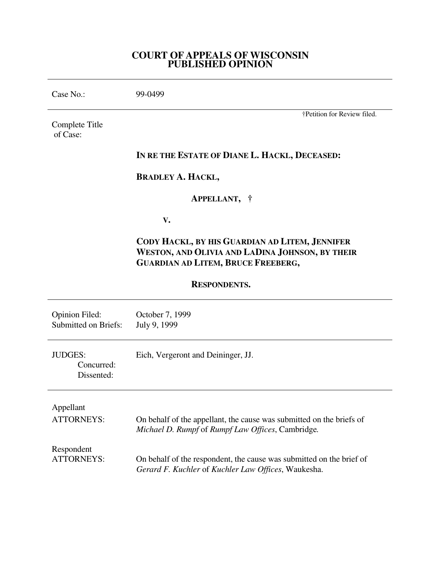## **COURT OF APPEALS OF WISCONSIN PUBLISHED OPINION**

| Case No.:                                            | 99-0499                                                                                                                                        |
|------------------------------------------------------|------------------------------------------------------------------------------------------------------------------------------------------------|
| Complete Title<br>of Case:                           | †Petition for Review filed.                                                                                                                    |
|                                                      | IN RE THE ESTATE OF DIANE L. HACKL, DECEASED:                                                                                                  |
|                                                      | <b>BRADLEY A. HACKL,</b>                                                                                                                       |
|                                                      | APPELLANT, †                                                                                                                                   |
|                                                      | V.                                                                                                                                             |
|                                                      | CODY HACKL, BY HIS GUARDIAN AD LITEM, JENNIFER<br>WESTON, AND OLIVIA AND LADINA JOHNSON, BY THEIR<br><b>GUARDIAN AD LITEM, BRUCE FREEBERG,</b> |
| <b>RESPONDENTS.</b>                                  |                                                                                                                                                |
| <b>Opinion Filed:</b><br><b>Submitted on Briefs:</b> | October 7, 1999<br>July 9, 1999                                                                                                                |
| <b>JUDGES:</b><br>Concurred:<br>Dissented:           | Eich, Vergeront and Deininger, JJ.                                                                                                             |
| Appellant<br><b>ATTORNEYS:</b>                       | On behalf of the appellant, the cause was submitted on the briefs of<br>Michael D. Rumpf of Rumpf Law Offices, Cambridge.                      |
| Respondent<br><b>ATTORNEYS:</b>                      | On behalf of the respondent, the cause was submitted on the brief of<br>Gerard F. Kuchler of Kuchler Law Offices, Waukesha.                    |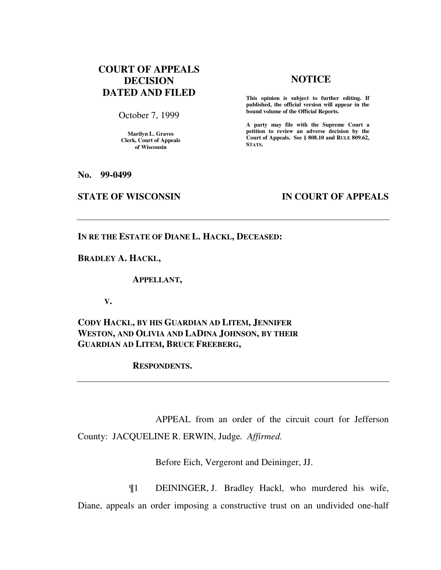# **COURT OF APPEALS DECISION DATED AND FILED**

October 7, 1999

**Marilyn L. Graves Clerk, Court of Appeals of Wisconsin** 

## **NOTICE**

**This opinion is subject to further editing. If published, the official version will appear in the bound volume of the Official Reports.**

**A party may file with the Supreme Court a petition to review an adverse decision by the Court of Appeals. See § 808.10 and RULE 809.62, STATS.** 

**No. 99-0499** 

## **STATE OF WISCONSIN IN COURT OF APPEALS**

**IN RE THE ESTATE OF DIANE L. HACKL, DECEASED:** 

**BRADLEY A. HACKL,** 

 **APPELLANT,** 

 **V.** 

**CODY HACKL, BY HIS GUARDIAN AD LITEM, JENNIFER WESTON, AND OLIVIA AND LADINA JOHNSON, BY THEIR GUARDIAN AD LITEM, BRUCE FREEBERG,** 

 **RESPONDENTS.** 

 APPEAL from an order of the circuit court for Jefferson County: JACQUELINE R. ERWIN, Judge*. Affirmed.*

Before Eich, Vergeront and Deininger, JJ.

 ¶1 DEININGER, J. Bradley Hackl, who murdered his wife, Diane, appeals an order imposing a constructive trust on an undivided one-half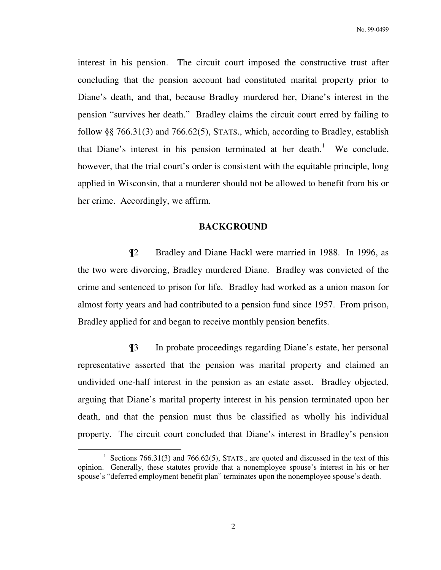interest in his pension. The circuit court imposed the constructive trust after concluding that the pension account had constituted marital property prior to Diane's death, and that, because Bradley murdered her, Diane's interest in the pension "survives her death." Bradley claims the circuit court erred by failing to follow §§ 766.31(3) and 766.62(5), STATS., which, according to Bradley, establish that Diane's interest in his pension terminated at her death.<sup>1</sup> We conclude, however, that the trial court's order is consistent with the equitable principle, long applied in Wisconsin, that a murderer should not be allowed to benefit from his or her crime. Accordingly, we affirm.

## **BACKGROUND**

 ¶2 Bradley and Diane Hackl were married in 1988. In 1996, as the two were divorcing, Bradley murdered Diane. Bradley was convicted of the crime and sentenced to prison for life. Bradley had worked as a union mason for almost forty years and had contributed to a pension fund since 1957. From prison, Bradley applied for and began to receive monthly pension benefits.

 ¶3 In probate proceedings regarding Diane's estate, her personal representative asserted that the pension was marital property and claimed an undivided one-half interest in the pension as an estate asset. Bradley objected, arguing that Diane's marital property interest in his pension terminated upon her death, and that the pension must thus be classified as wholly his individual property. The circuit court concluded that Diane's interest in Bradley's pension

<sup>&</sup>lt;sup>1</sup> Sections 766.31(3) and 766.62(5), STATS., are quoted and discussed in the text of this opinion. Generally, these statutes provide that a nonemployee spouse's interest in his or her spouse's "deferred employment benefit plan" terminates upon the nonemployee spouse's death.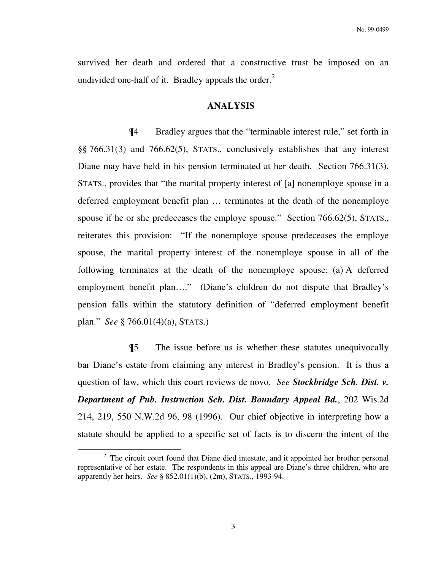survived her death and ordered that a constructive trust be imposed on an undivided one-half of it. Bradley appeals the order.<sup>2</sup>

#### **ANALYSIS**

 ¶4 Bradley argues that the "terminable interest rule," set forth in §§ 766.31(3) and 766.62(5), STATS., conclusively establishes that any interest Diane may have held in his pension terminated at her death. Section 766.31(3), STATS., provides that "the marital property interest of [a] nonemploye spouse in a deferred employment benefit plan … terminates at the death of the nonemploye spouse if he or she predeceases the employe spouse." Section 766.62(5), STATS., reiterates this provision: "If the nonemploye spouse predeceases the employe spouse, the marital property interest of the nonemploye spouse in all of the following terminates at the death of the nonemploye spouse: (a) A deferred employment benefit plan...." (Diane's children do not dispute that Bradley's pension falls within the statutory definition of "deferred employment benefit plan." *See* § 766.01(4)(a), STATS.)

 ¶5 The issue before us is whether these statutes unequivocally bar Diane's estate from claiming any interest in Bradley's pension. It is thus a question of law, which this court reviews de novo. *See Stockbridge Sch. Dist. v. Department of Pub. Instruction Sch. Dist. Boundary Appeal Bd.*, 202 Wis.2d 214, 219, 550 N.W.2d 96, 98 (1996). Our chief objective in interpreting how a statute should be applied to a specific set of facts is to discern the intent of the

<sup>&</sup>lt;sup>2</sup> The circuit court found that Diane died intestate, and it appointed her brother personal representative of her estate. The respondents in this appeal are Diane's three children, who are apparently her heirs. *See* § 852.01(1)(b), (2m), STATS., 1993-94.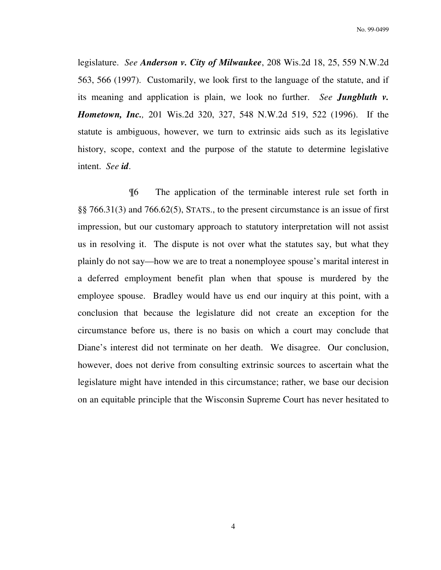legislature. *See Anderson v. City of Milwaukee*, 208 Wis.2d 18, 25, 559 N.W.2d 563, 566 (1997). Customarily, we look first to the language of the statute, and if its meaning and application is plain, we look no further. *See Jungbluth v. Hometown, Inc.,* 201 Wis.2d 320, 327, 548 N.W.2d 519, 522 (1996). If the statute is ambiguous, however, we turn to extrinsic aids such as its legislative history, scope, context and the purpose of the statute to determine legislative intent. *See id*.

 ¶6 The application of the terminable interest rule set forth in §§ 766.31(3) and 766.62(5), STATS., to the present circumstance is an issue of first impression, but our customary approach to statutory interpretation will not assist us in resolving it. The dispute is not over what the statutes say, but what they plainly do not say—how we are to treat a nonemployee spouse's marital interest in a deferred employment benefit plan when that spouse is murdered by the employee spouse. Bradley would have us end our inquiry at this point, with a conclusion that because the legislature did not create an exception for the circumstance before us, there is no basis on which a court may conclude that Diane's interest did not terminate on her death. We disagree. Our conclusion, however, does not derive from consulting extrinsic sources to ascertain what the legislature might have intended in this circumstance; rather, we base our decision on an equitable principle that the Wisconsin Supreme Court has never hesitated to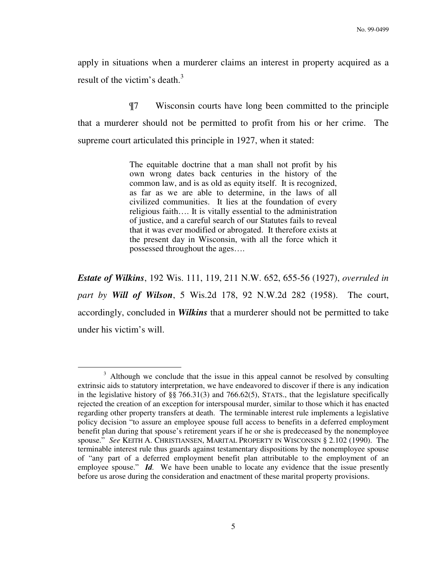apply in situations when a murderer claims an interest in property acquired as a result of the victim's death. $3$ 

 ¶7 Wisconsin courts have long been committed to the principle that a murderer should not be permitted to profit from his or her crime. The supreme court articulated this principle in 1927, when it stated:

> The equitable doctrine that a man shall not profit by his own wrong dates back centuries in the history of the common law, and is as old as equity itself. It is recognized, as far as we are able to determine, in the laws of all civilized communities. It lies at the foundation of every religious faith…. It is vitally essential to the administration of justice, and a careful search of our Statutes fails to reveal that it was ever modified or abrogated. It therefore exists at the present day in Wisconsin, with all the force which it possessed throughout the ages….

*Estate of Wilkins*, 192 Wis. 111, 119, 211 N.W. 652, 655-56 (1927), *overruled in part by Will of Wilson*, 5 Wis.2d 178, 92 N.W.2d 282 (1958). The court, accordingly, concluded in *Wilkins* that a murderer should not be permitted to take under his victim's will.

<sup>&</sup>lt;sup>3</sup> Although we conclude that the issue in this appeal cannot be resolved by consulting extrinsic aids to statutory interpretation, we have endeavored to discover if there is any indication in the legislative history of §§ 766.31(3) and 766.62(5), STATS., that the legislature specifically rejected the creation of an exception for interspousal murder, similar to those which it has enacted regarding other property transfers at death. The terminable interest rule implements a legislative policy decision "to assure an employee spouse full access to benefits in a deferred employment benefit plan during that spouse's retirement years if he or she is predeceased by the nonemployee spouse." *See* KEITH A. CHRISTIANSEN, MARITAL PROPERTY IN WISCONSIN § 2.102 (1990). The terminable interest rule thus guards against testamentary dispositions by the nonemployee spouse of "any part of a deferred employment benefit plan attributable to the employment of an employee spouse." *Id*. We have been unable to locate any evidence that the issue presently before us arose during the consideration and enactment of these marital property provisions.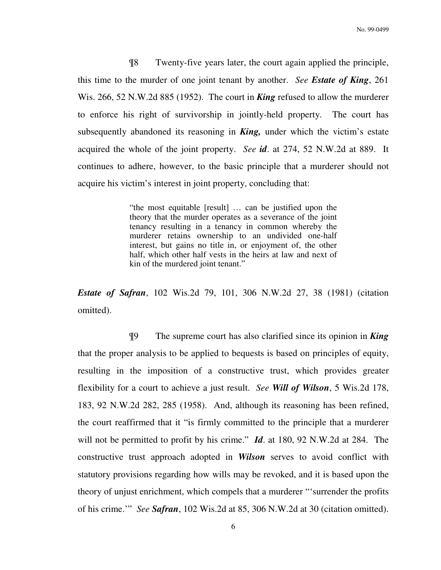¶8 Twenty-five years later, the court again applied the principle, this time to the murder of one joint tenant by another. *See Estate of King*, 261 Wis. 266, 52 N.W.2d 885 (1952). The court in *King* refused to allow the murderer to enforce his right of survivorship in jointly-held property. The court has subsequently abandoned its reasoning in *King,* under which the victim's estate acquired the whole of the joint property. *See id*. at 274, 52 N.W.2d at 889. It continues to adhere, however, to the basic principle that a murderer should not acquire his victim's interest in joint property, concluding that:

> "the most equitable [result] … can be justified upon the theory that the murder operates as a severance of the joint tenancy resulting in a tenancy in common whereby the murderer retains ownership to an undivided one-half interest, but gains no title in, or enjoyment of, the other half, which other half vests in the heirs at law and next of kin of the murdered joint tenant."

*Estate of Safran*, 102 Wis.2d 79, 101, 306 N.W.2d 27, 38 (1981) (citation omitted).

 ¶9 The supreme court has also clarified since its opinion in *King* that the proper analysis to be applied to bequests is based on principles of equity, resulting in the imposition of a constructive trust, which provides greater flexibility for a court to achieve a just result. *See Will of Wilson*, 5 Wis.2d 178, 183, 92 N.W.2d 282, 285 (1958). And, although its reasoning has been refined, the court reaffirmed that it "is firmly committed to the principle that a murderer will not be permitted to profit by his crime." *Id*. at 180, 92 N.W.2d at 284. The constructive trust approach adopted in *Wilson* serves to avoid conflict with statutory provisions regarding how wills may be revoked, and it is based upon the theory of unjust enrichment, which compels that a murderer "'surrender the profits of his crime.'" *See Safran*, 102 Wis.2d at 85, 306 N.W.2d at 30 (citation omitted).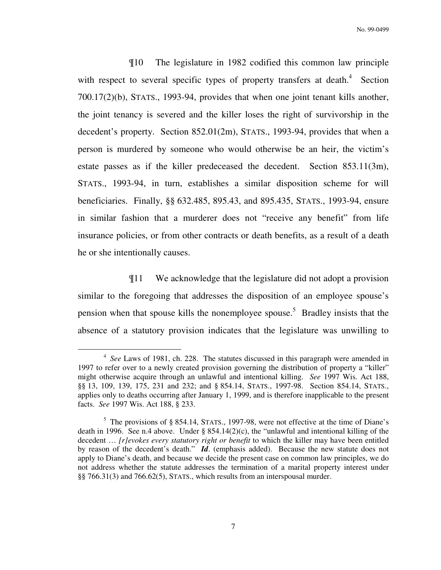¶10 The legislature in 1982 codified this common law principle with respect to several specific types of property transfers at death. $4$  Section 700.17(2)(b), STATS., 1993-94, provides that when one joint tenant kills another, the joint tenancy is severed and the killer loses the right of survivorship in the decedent's property. Section 852.01(2m), STATS., 1993-94, provides that when a person is murdered by someone who would otherwise be an heir, the victim's estate passes as if the killer predeceased the decedent. Section 853.11(3m), STATS., 1993-94, in turn, establishes a similar disposition scheme for will beneficiaries. Finally, §§ 632.485, 895.43, and 895.435, STATS., 1993-94, ensure in similar fashion that a murderer does not "receive any benefit" from life insurance policies, or from other contracts or death benefits, as a result of a death he or she intentionally causes.

 ¶11 We acknowledge that the legislature did not adopt a provision similar to the foregoing that addresses the disposition of an employee spouse's pension when that spouse kills the nonemployee spouse.<sup>5</sup> Bradley insists that the absence of a statutory provision indicates that the legislature was unwilling to

<sup>&</sup>lt;sup>4</sup> See Laws of 1981, ch. 228. The statutes discussed in this paragraph were amended in 1997 to refer over to a newly created provision governing the distribution of property a "killer" might otherwise acquire through an unlawful and intentional killing. *See* 1997 Wis. Act 188, §§ 13, 109, 139, 175, 231 and 232; and § 854.14, STATS., 1997-98. Section 854.14, STATS., applies only to deaths occurring after January 1, 1999, and is therefore inapplicable to the present facts. *See* 1997 Wis. Act 188, § 233.

 $5$  The provisions of § 854.14, STATS., 1997-98, were not effective at the time of Diane's death in 1996. See n.4 above. Under  $\S$  854.14(2)(c), the "unlawful and intentional killing of the decedent … *[r]evokes every statutory right or benefit* to which the killer may have been entitled by reason of the decedent's death." *Id*. (emphasis added). Because the new statute does not apply to Diane's death, and because we decide the present case on common law principles, we do not address whether the statute addresses the termination of a marital property interest under §§ 766.31(3) and 766.62(5), STATS., which results from an interspousal murder.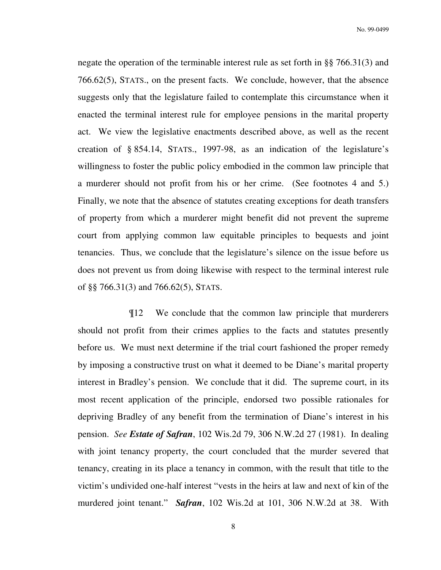negate the operation of the terminable interest rule as set forth in §§ 766.31(3) and 766.62(5), STATS., on the present facts. We conclude, however, that the absence suggests only that the legislature failed to contemplate this circumstance when it enacted the terminal interest rule for employee pensions in the marital property act. We view the legislative enactments described above, as well as the recent creation of § 854.14, STATS., 1997-98, as an indication of the legislature's willingness to foster the public policy embodied in the common law principle that a murderer should not profit from his or her crime. (See footnotes 4 and 5.) Finally, we note that the absence of statutes creating exceptions for death transfers of property from which a murderer might benefit did not prevent the supreme court from applying common law equitable principles to bequests and joint tenancies. Thus, we conclude that the legislature's silence on the issue before us does not prevent us from doing likewise with respect to the terminal interest rule of §§ 766.31(3) and 766.62(5), STATS.

 ¶12 We conclude that the common law principle that murderers should not profit from their crimes applies to the facts and statutes presently before us. We must next determine if the trial court fashioned the proper remedy by imposing a constructive trust on what it deemed to be Diane's marital property interest in Bradley's pension. We conclude that it did. The supreme court, in its most recent application of the principle, endorsed two possible rationales for depriving Bradley of any benefit from the termination of Diane's interest in his pension. *See Estate of Safran*, 102 Wis.2d 79, 306 N.W.2d 27 (1981). In dealing with joint tenancy property, the court concluded that the murder severed that tenancy, creating in its place a tenancy in common, with the result that title to the victim's undivided one-half interest "vests in the heirs at law and next of kin of the murdered joint tenant." *Safran*, 102 Wis.2d at 101, 306 N.W.2d at 38. With

8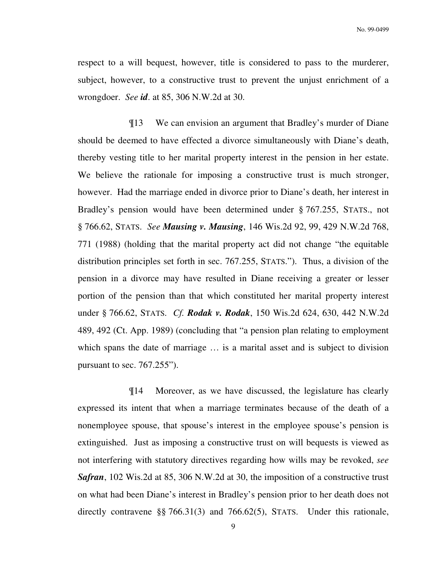respect to a will bequest, however, title is considered to pass to the murderer, subject, however, to a constructive trust to prevent the unjust enrichment of a wrongdoer. *See id*. at 85, 306 N.W.2d at 30.

 ¶13 We can envision an argument that Bradley's murder of Diane should be deemed to have effected a divorce simultaneously with Diane's death, thereby vesting title to her marital property interest in the pension in her estate. We believe the rationale for imposing a constructive trust is much stronger, however. Had the marriage ended in divorce prior to Diane's death, her interest in Bradley's pension would have been determined under § 767.255, STATS., not § 766.62, STATS. *See Mausing v. Mausing*, 146 Wis.2d 92, 99, 429 N.W.2d 768, 771 (1988) (holding that the marital property act did not change "the equitable distribution principles set forth in sec. 767.255, STATS."). Thus, a division of the pension in a divorce may have resulted in Diane receiving a greater or lesser portion of the pension than that which constituted her marital property interest under § 766.62, STATS. *Cf. Rodak v. Rodak*, 150 Wis.2d 624, 630, 442 N.W.2d 489, 492 (Ct. App. 1989) (concluding that "a pension plan relating to employment which spans the date of marriage ... is a marital asset and is subject to division pursuant to sec. 767.255").

 ¶14 Moreover, as we have discussed, the legislature has clearly expressed its intent that when a marriage terminates because of the death of a nonemployee spouse, that spouse's interest in the employee spouse's pension is extinguished. Just as imposing a constructive trust on will bequests is viewed as not interfering with statutory directives regarding how wills may be revoked, *see Safran*, 102 Wis.2d at 85, 306 N.W.2d at 30, the imposition of a constructive trust on what had been Diane's interest in Bradley's pension prior to her death does not directly contravene §§ 766.31(3) and 766.62(5), STATS. Under this rationale,

9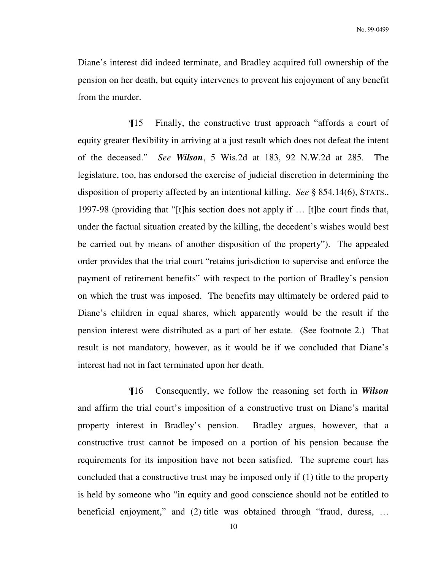Diane's interest did indeed terminate, and Bradley acquired full ownership of the pension on her death, but equity intervenes to prevent his enjoyment of any benefit from the murder.

 ¶15 Finally, the constructive trust approach "affords a court of equity greater flexibility in arriving at a just result which does not defeat the intent of the deceased." *See Wilson*, 5 Wis.2d at 183, 92 N.W.2d at 285. The legislature, too, has endorsed the exercise of judicial discretion in determining the disposition of property affected by an intentional killing. *See* § 854.14(6), STATS., 1997-98 (providing that "[t]his section does not apply if … [t]he court finds that, under the factual situation created by the killing, the decedent's wishes would best be carried out by means of another disposition of the property"). The appealed order provides that the trial court "retains jurisdiction to supervise and enforce the payment of retirement benefits" with respect to the portion of Bradley's pension on which the trust was imposed. The benefits may ultimately be ordered paid to Diane's children in equal shares, which apparently would be the result if the pension interest were distributed as a part of her estate. (See footnote 2.) That result is not mandatory, however, as it would be if we concluded that Diane's interest had not in fact terminated upon her death.

 ¶16 Consequently, we follow the reasoning set forth in *Wilson* and affirm the trial court's imposition of a constructive trust on Diane's marital property interest in Bradley's pension. Bradley argues, however, that a constructive trust cannot be imposed on a portion of his pension because the requirements for its imposition have not been satisfied. The supreme court has concluded that a constructive trust may be imposed only if (1) title to the property is held by someone who "in equity and good conscience should not be entitled to beneficial enjoyment," and (2) title was obtained through "fraud, duress, …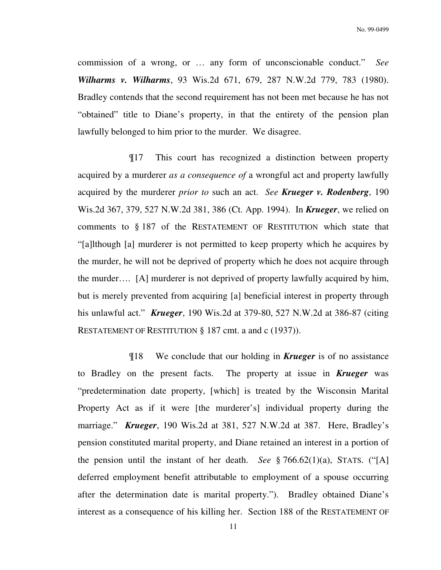commission of a wrong, or … any form of unconscionable conduct." *See Wilharms v. Wilharms*, 93 Wis.2d 671, 679, 287 N.W.2d 779, 783 (1980). Bradley contends that the second requirement has not been met because he has not "obtained" title to Diane's property, in that the entirety of the pension plan lawfully belonged to him prior to the murder. We disagree.

 ¶17 This court has recognized a distinction between property acquired by a murderer *as a consequence of* a wrongful act and property lawfully acquired by the murderer *prior to* such an act. *See Krueger v. Rodenberg*, 190 Wis.2d 367, 379, 527 N.W.2d 381, 386 (Ct. App. 1994). In *Krueger*, we relied on comments to § 187 of the RESTATEMENT OF RESTITUTION which state that "[a]lthough [a] murderer is not permitted to keep property which he acquires by the murder, he will not be deprived of property which he does not acquire through the murder…. [A] murderer is not deprived of property lawfully acquired by him, but is merely prevented from acquiring [a] beneficial interest in property through his unlawful act." *Krueger*, 190 Wis.2d at 379-80, 527 N.W.2d at 386-87 (citing RESTATEMENT OF RESTITUTION § 187 cmt. a and c (1937)).

 ¶18 We conclude that our holding in *Krueger* is of no assistance to Bradley on the present facts. The property at issue in *Krueger* was "predetermination date property, [which] is treated by the Wisconsin Marital Property Act as if it were [the murderer's] individual property during the marriage." *Krueger*, 190 Wis.2d at 381, 527 N.W.2d at 387. Here, Bradley's pension constituted marital property, and Diane retained an interest in a portion of the pension until the instant of her death. *See* § 766.62(1)(a), STATS. ("[A] deferred employment benefit attributable to employment of a spouse occurring after the determination date is marital property."). Bradley obtained Diane's interest as a consequence of his killing her. Section 188 of the RESTATEMENT OF

11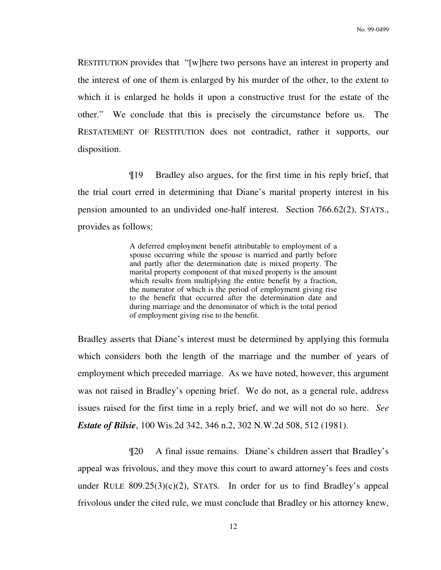RESTITUTION provides that "[w]here two persons have an interest in property and the interest of one of them is enlarged by his murder of the other, to the extent to which it is enlarged he holds it upon a constructive trust for the estate of the other." We conclude that this is precisely the circumstance before us. The RESTATEMENT OF RESTITUTION does not contradict, rather it supports, our disposition.

 ¶19 Bradley also argues, for the first time in his reply brief, that the trial court erred in determining that Diane's marital property interest in his pension amounted to an undivided one-half interest. Section 766.62(2), STATS., provides as follows:

> A deferred employment benefit attributable to employment of a spouse occurring while the spouse is married and partly before and partly after the determination date is mixed property. The marital property component of that mixed property is the amount which results from multiplying the entire benefit by a fraction, the numerator of which is the period of employment giving rise to the benefit that occurred after the determination date and during marriage and the denominator of which is the total period of employment giving rise to the benefit.

Bradley asserts that Diane's interest must be determined by applying this formula which considers both the length of the marriage and the number of years of employment which preceded marriage. As we have noted, however, this argument was not raised in Bradley's opening brief. We do not, as a general rule, address issues raised for the first time in a reply brief, and we will not do so here. *See Estate of Bilsie*, 100 Wis.2d 342, 346 n.2, 302 N.W.2d 508, 512 (1981).

 ¶20 A final issue remains. Diane's children assert that Bradley's appeal was frivolous, and they move this court to award attorney's fees and costs under RULE  $809.25(3)(c)(2)$ , STATS. In order for us to find Bradley's appeal frivolous under the cited rule, we must conclude that Bradley or his attorney knew,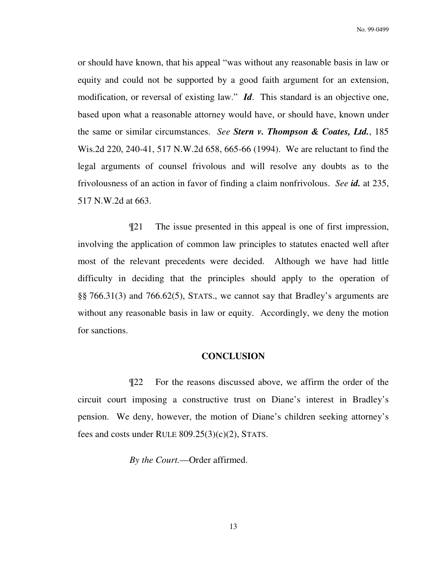or should have known, that his appeal "was without any reasonable basis in law or equity and could not be supported by a good faith argument for an extension, modification, or reversal of existing law." *Id*. This standard is an objective one, based upon what a reasonable attorney would have, or should have, known under the same or similar circumstances. *See Stern v. Thompson & Coates, Ltd.*, 185 Wis.2d 220, 240-41, 517 N.W.2d 658, 665-66 (1994). We are reluctant to find the legal arguments of counsel frivolous and will resolve any doubts as to the frivolousness of an action in favor of finding a claim nonfrivolous. *See id.* at 235, 517 N.W.2d at 663.

 ¶21 The issue presented in this appeal is one of first impression, involving the application of common law principles to statutes enacted well after most of the relevant precedents were decided. Although we have had little difficulty in deciding that the principles should apply to the operation of §§ 766.31(3) and 766.62(5), STATS., we cannot say that Bradley's arguments are without any reasonable basis in law or equity. Accordingly, we deny the motion for sanctions.

## **CONCLUSION**

 ¶22 For the reasons discussed above, we affirm the order of the circuit court imposing a constructive trust on Diane's interest in Bradley's pension. We deny, however, the motion of Diane's children seeking attorney's fees and costs under RULE  $809.25(3)(c)(2)$ , STATS.

*By the Court.*—Order affirmed.